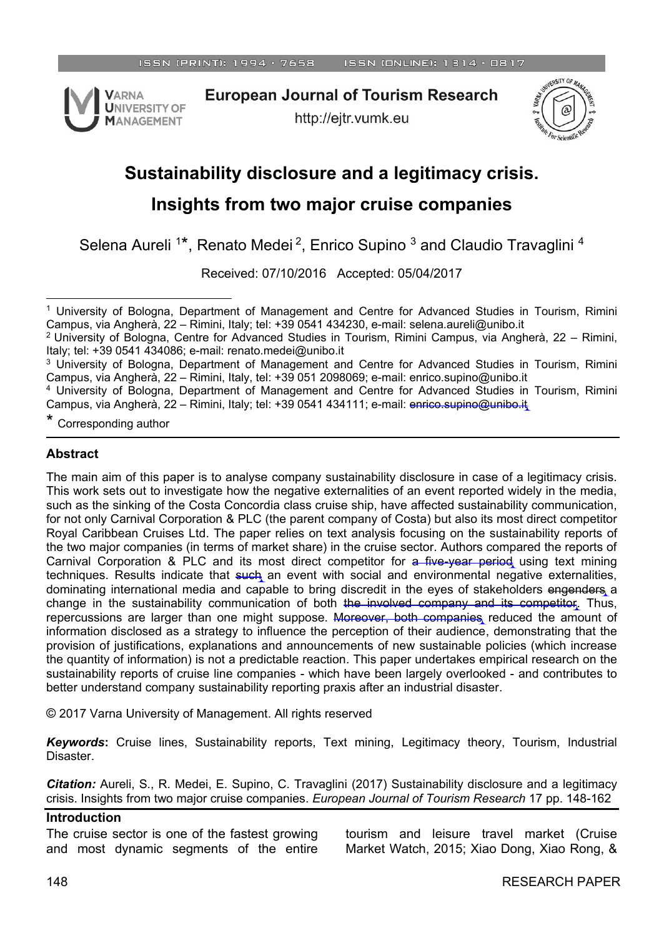

**European Journal of Tourism Research** 

http://ejtr.vumk.eu



# **Sustainability disclosure and a legitimacy crisis.**

## **Insights from two major cruise companies**

Selena Aureli<sup>1\*</sup>, Renato Medei<sup>2</sup>, Enrico Supino<sup>3</sup> and Claudio Travaglini<sup>4</sup>

Received: 07/10/2016 Accepted: 05/04/2017

\* Corresponding author

#### **Abstract**

The main aim of this paper is to analyse company sustainability disclosure in case of a legitimacy crisis. This work sets out to investigate how the negative externalities of an event reported widely in the media, such as the sinking of the Costa Concordia class cruise ship, have affected sustainability communication, for not only Carnival Corporation & PLC (the parent company of Costa) but also its most direct competitor Royal Caribbean Cruises Ltd. The paper relies on text analysis focusing on the sustainability reports of the two major companies (in terms of market share) in the cruise sector. Authors compared the reports of Carnival Corporation & PLC and its most direct competitor for a five-year period using text mining techniques. Results indicate that such an event with social and environmental negative externalities, dominating international media and capable to bring discredit in the eyes of stakeholders engenders a change in the sustainability communication of both the involved company and its competitor. Thus, repercussions are larger than one might suppose. Moreover, both companies reduced the amount of information disclosed as a strategy to influence the perception of their audience, demonstrating that the provision of justifications, explanations and announcements of new sustainable policies (which increase the quantity of information) is not a predictable reaction. This paper undertakes empirical research on the sustainability reports of cruise line companies - which have been largely overlooked - and contributes to better understand company sustainability reporting praxis after an industrial disaster.

© 2017 Varna University of Management. All rights reserved

*Keywords***:** Cruise lines, Sustainability reports, Text mining, Legitimacy theory, Tourism, Industrial Disaster.

*Citation:* Aureli, S., R. Medei, E. Supino, C. Travaglini (2017) Sustainability disclosure and a legitimacy crisis. Insights from two major cruise companies. *European Journal of Tourism Research* 17 pp. 148-162

#### **Introduction**

The cruise sector is one of the fastest growing and most dynamic segments of the entire

tourism and leisure travel market (Cruise Market Watch, 2015; Xiao Dong, Xiao Rong, &

l <sup>1</sup> University of Bologna, Department of Management and Centre for Advanced Studies in Tourism, Rimini Campus, via Angherà, 22 – Rimini, Italy; tel: +39 0541 434230, e-mail: [selena.aureli@unibo.it](mailto:selena.aureli@unibo.it)

<sup>&</sup>lt;sup>2</sup> University of Bologna, Centre for Advanced Studies in Tourism, Rimini Campus, via Angherà, 22 – Rimini, Italy; tel: +39 0541 434086; e-mail: renato.medei@unibo.it

<sup>&</sup>lt;sup>3</sup> University of Bologna, Department of Management and Centre for Advanced Studies in Tourism, Rimini Campus, via Angherà, 22 – Rimini, Italy, tel: +39 051 2098069; e-mail: enrico.supino@unibo.it

<sup>4</sup> University of Bologna, Department of Management and Centre for Advanced Studies in Tourism, Rimini Campus, via Angherà, 22 – Rimini, Italy; tel: +39 0541 434111; e-mail: enrico.supino@unibo.it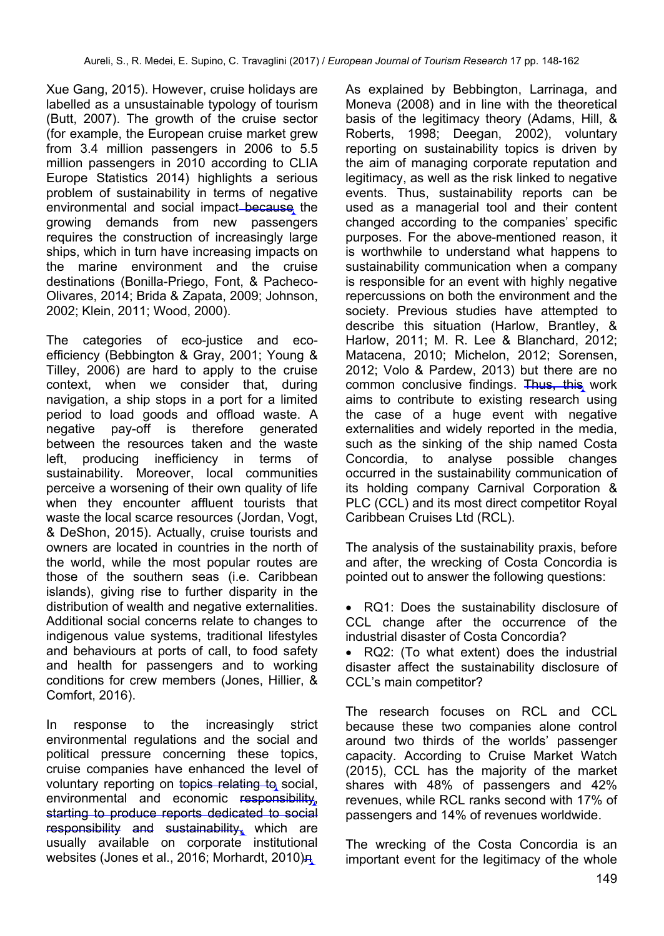Xue Gang, 2015). However, cruise holidays are labelled as a unsustainable typology of tourism (Butt, 2007). The growth of the cruise sector (for example, the European cruise market grew from 3.4 million passengers in 2006 to 5.5 million passengers in 2010 according to CLIA Europe Statistics 2014) highlights a serious problem of sustainability in terms of negative environmental and social impact because the growing demands from new passengers requires the construction of increasingly large ships, which in turn have increasing impacts on the marine environment and the cruise destinations (Bonilla-Priego, Font, & Pacheco-Olivares, 2014; Brida & Zapata, 2009; Johnson, 2002; Klein, 2011; Wood, 2000).

The categories of eco-justice and ecoefficiency (Bebbington & Gray, 2001; Young & Tilley, 2006) are hard to apply to the cruise context, when we consider that, during navigation, a ship stops in a port for a limited period to load goods and offload waste. A negative pay-off is therefore generated between the resources taken and the waste left, producing inefficiency in terms of sustainability. Moreover, local communities perceive a worsening of their own quality of life when they encounter affluent tourists that waste the local scarce resources (Jordan, Vogt, & DeShon, 2015). Actually, cruise tourists and owners are located in countries in the north of the world, while the most popular routes are those of the southern seas (i.e. Caribbean islands), giving rise to further disparity in the distribution of wealth and negative externalities. Additional social concerns relate to changes to indigenous value systems, traditional lifestyles and behaviours at ports of call, to food safety and health for passengers and to working conditions for crew members (Jones, Hillier, & Comfort, 2016).

In response to the increasingly strict environmental regulations and the social and political pressure concerning these topics, cruise companies have enhanced the level of voluntary reporting on topics relating to social, environmental and economic responsibility, starting to produce reports dedicated to social responsibility and sustainability, which are usually available on corporate institutional websites (Jones et al., 2016; Morhardt, 2010)<sub></sub>

As explained by Bebbington, Larrinaga, and Moneva (2008) and in line with the theoretical basis of the legitimacy theory (Adams, Hill, & Roberts, 1998; Deegan, 2002), voluntary reporting on sustainability topics is driven by the aim of managing corporate reputation and legitimacy, as well as the risk linked to negative events. Thus, sustainability reports can be used as a managerial tool and their content changed according to the companies' specific purposes. For the above-mentioned reason, it is worthwhile to understand what happens to sustainability communication when a company is responsible for an event with highly negative repercussions on both the environment and the society. Previous studies have attempted to describe this situation (Harlow, Brantley, & Harlow, 2011; M. R. Lee & Blanchard, 2012; Matacena, 2010; Michelon, 2012; Sorensen, 2012; Volo & Pardew, 2013) but there are no common conclusive findings. Thus, this work aims to contribute to existing research using the case of a huge event with negative externalities and widely reported in the media, such as the sinking of the ship named Costa Concordia, to analyse possible changes occurred in the sustainability communication of its holding company Carnival Corporation & PLC (CCL) and its most direct competitor Royal Caribbean Cruises Ltd (RCL).

The analysis of the sustainability praxis, before and after, the wrecking of Costa Concordia is pointed out to answer the following questions:

 RQ1: Does the sustainability disclosure of CCL change after the occurrence of the industrial disaster of Costa Concordia?

 RQ2: (To what extent) does the industrial disaster affect the sustainability disclosure of CCL's main competitor?

The research focuses on RCL and CCL because these two companies alone control around two thirds of the worlds' passenger capacity. According to Cruise Market Watch (2015), CCL has the majority of the market shares with 48% of passengers and 42% revenues, while RCL ranks second with 17% of passengers and 14% of revenues worldwide.

The wrecking of the Costa Concordia is an important event for the legitimacy of the whole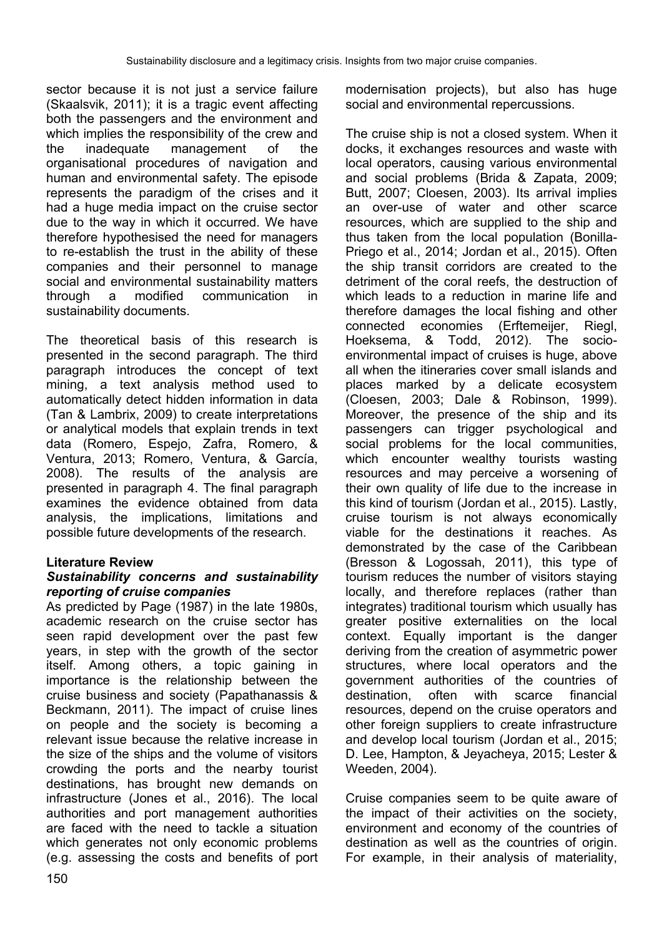sector because it is not just a service failure (Skaalsvik, 2011); it is a tragic event affecting both the passengers and the environment and which implies the responsibility of the crew and the inadequate management of the organisational procedures of navigation and human and environmental safety. The episode represents the paradigm of the crises and it had a huge media impact on the cruise sector due to the way in which it occurred. We have therefore hypothesised the need for managers to re-establish the trust in the ability of these companies and their personnel to manage social and environmental sustainability matters through a modified communication in sustainability documents.

The theoretical basis of this research is presented in the second paragraph. The third paragraph introduces the concept of text mining, a text analysis method used to automatically detect hidden information in data (Tan & Lambrix, 2009) to create interpretations or analytical models that explain trends in text data (Romero, Espejo, Zafra, Romero, & Ventura, 2013; Romero, Ventura, & García, 2008). The results of the analysis are presented in paragraph 4. The final paragraph examines the evidence obtained from data analysis, the implications, limitations and possible future developments of the research.

#### **Literature Review**

#### *Sustainability concerns and sustainability reporting of cruise companies*

As predicted by Page (1987) in the late 1980s, academic research on the cruise sector has seen rapid development over the past few years, in step with the growth of the sector itself. Among others, a topic gaining in importance is the relationship between the cruise business and society (Papathanassis & Beckmann, 2011). The impact of cruise lines on people and the society is becoming a relevant issue because the relative increase in the size of the ships and the volume of visitors crowding the ports and the nearby tourist destinations, has brought new demands on infrastructure (Jones et al., 2016). The local authorities and port management authorities are faced with the need to tackle a situation which generates not only economic problems (e.g. assessing the costs and benefits of port modernisation projects), but also has huge social and environmental repercussions.

The cruise ship is not a closed system. When it docks, it exchanges resources and waste with local operators, causing various environmental and social problems (Brida & Zapata, 2009; Butt, 2007; Cloesen, 2003). Its arrival implies an over-use of water and other scarce resources, which are supplied to the ship and thus taken from the local population (Bonilla-Priego et al., 2014; Jordan et al., 2015). Often the ship transit corridors are created to the detriment of the coral reefs, the destruction of which leads to a reduction in marine life and therefore damages the local fishing and other connected economies (Erftemeijer, Riegl, Hoeksema, & Todd, 2012). The socioenvironmental impact of cruises is huge, above all when the itineraries cover small islands and places marked by a delicate ecosystem (Cloesen, 2003; Dale & Robinson, 1999). Moreover, the presence of the ship and its passengers can trigger psychological and social problems for the local communities, which encounter wealthy tourists wasting resources and may perceive a worsening of their own quality of life due to the increase in this kind of tourism (Jordan et al., 2015). Lastly, cruise tourism is not always economically viable for the destinations it reaches. As demonstrated by the case of the Caribbean (Bresson & Logossah, 2011), this type of tourism reduces the number of visitors staying locally, and therefore replaces (rather than integrates) traditional tourism which usually has greater positive externalities on the local context. Equally important is the danger deriving from the creation of asymmetric power structures, where local operators and the government authorities of the countries of destination, often with scarce financial resources, depend on the cruise operators and other foreign suppliers to create infrastructure and develop local tourism (Jordan et al., 2015; D. Lee, Hampton, & Jeyacheya, 2015; Lester & Weeden, 2004).

Cruise companies seem to be quite aware of the impact of their activities on the society, environment and economy of the countries of destination as well as the countries of origin. For example, in their analysis of materiality,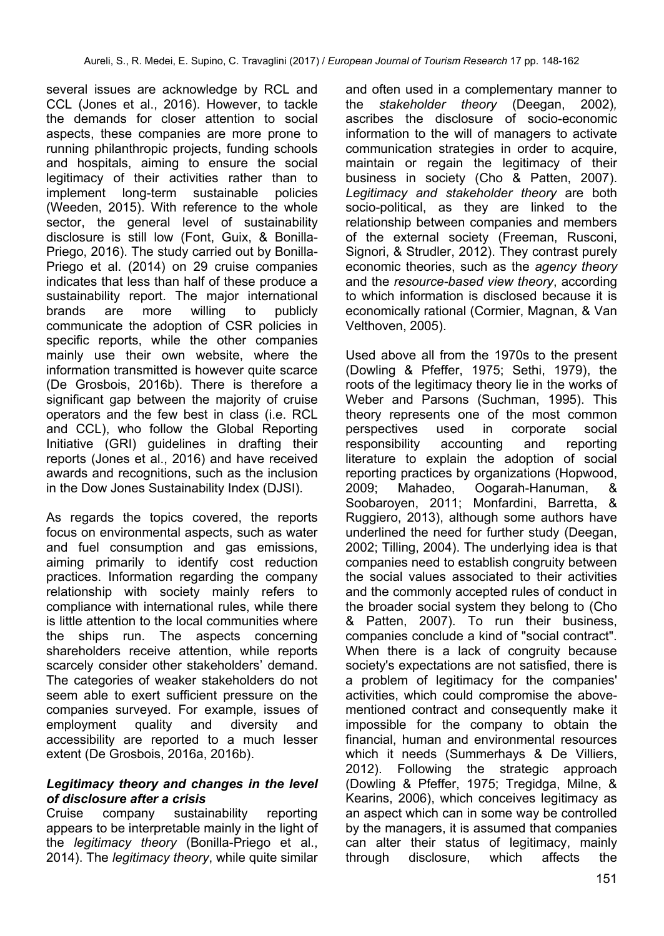several issues are acknowledge by RCL and CCL (Jones et al., 2016). However, to tackle the demands for closer attention to social aspects, these companies are more prone to running philanthropic projects, funding schools and hospitals, aiming to ensure the social legitimacy of their activities rather than to implement long-term sustainable policies (Weeden, 2015). With reference to the whole sector, the general level of sustainability disclosure is still low (Font, Guix, & Bonilla-Priego, 2016). The study carried out by Bonilla-Priego et al. (2014) on 29 cruise companies indicates that less than half of these produce a sustainability report. The major international brands are more willing to publicly communicate the adoption of CSR policies in specific reports, while the other companies mainly use their own website, where the information transmitted is however quite scarce (De Grosbois, 2016b). There is therefore a significant gap between the majority of cruise operators and the few best in class (i.e. RCL and CCL), who follow the Global Reporting Initiative (GRI) guidelines in drafting their reports (Jones et al., 2016) and have received awards and recognitions, such as the inclusion in the Dow Jones Sustainability Index (DJSI).

As regards the topics covered, the reports focus on environmental aspects, such as water and fuel consumption and gas emissions, aiming primarily to identify cost reduction practices. Information regarding the company relationship with society mainly refers to compliance with international rules, while there is little attention to the local communities where the ships run. The aspects concerning shareholders receive attention, while reports scarcely consider other stakeholders' demand. The categories of weaker stakeholders do not seem able to exert sufficient pressure on the companies surveyed. For example, issues of employment quality and diversity and accessibility are reported to a much lesser extent (De Grosbois, 2016a, 2016b).

#### *Legitimacy theory and changes in the level of disclosure after a crisis*

Cruise company sustainability reporting appears to be interpretable mainly in the light of the *legitimacy theory* (Bonilla-Priego et al., 2014). The *legitimacy theory*, while quite similar and often used in a complementary manner to the *stakeholder theory* (Deegan, 2002)*,* ascribes the disclosure of socio-economic information to the will of managers to activate communication strategies in order to acquire, maintain or regain the legitimacy of their business in society (Cho & Patten, 2007). *Legitimacy and stakeholder theory* are both socio-political, as they are linked to the relationship between companies and members of the external society (Freeman, Rusconi, Signori, & Strudler, 2012). They contrast purely economic theories, such as the *agency theory* and the *resource-based view theory*, according to which information is disclosed because it is economically rational (Cormier, Magnan, & Van Velthoven, 2005).

Used above all from the 1970s to the present (Dowling & Pfeffer, 1975; Sethi, 1979), the roots of the legitimacy theory lie in the works of Weber and Parsons (Suchman, 1995). This theory represents one of the most common perspectives used in corporate social responsibility accounting and reporting literature to explain the adoption of social reporting practices by organizations (Hopwood, 2009; Mahadeo, Oogarah-Hanuman, & Soobaroyen, 2011; Monfardini, Barretta, & Ruggiero, 2013), although some authors have underlined the need for further study (Deegan, 2002; Tilling, 2004). The underlying idea is that companies need to establish congruity between the social values associated to their activities and the commonly accepted rules of conduct in the broader social system they belong to (Cho & Patten, 2007). To run their business, companies conclude a kind of "social contract". When there is a lack of congruity because society's expectations are not satisfied, there is a problem of legitimacy for the companies' activities, which could compromise the abovementioned contract and consequently make it impossible for the company to obtain the financial, human and environmental resources which it needs (Summerhays & De Villiers, 2012). Following the strategic approach (Dowling & Pfeffer, 1975; Tregidga, Milne, & Kearins, 2006), which conceives legitimacy as an aspect which can in some way be controlled by the managers, it is assumed that companies can alter their status of legitimacy, mainly through disclosure, which affects the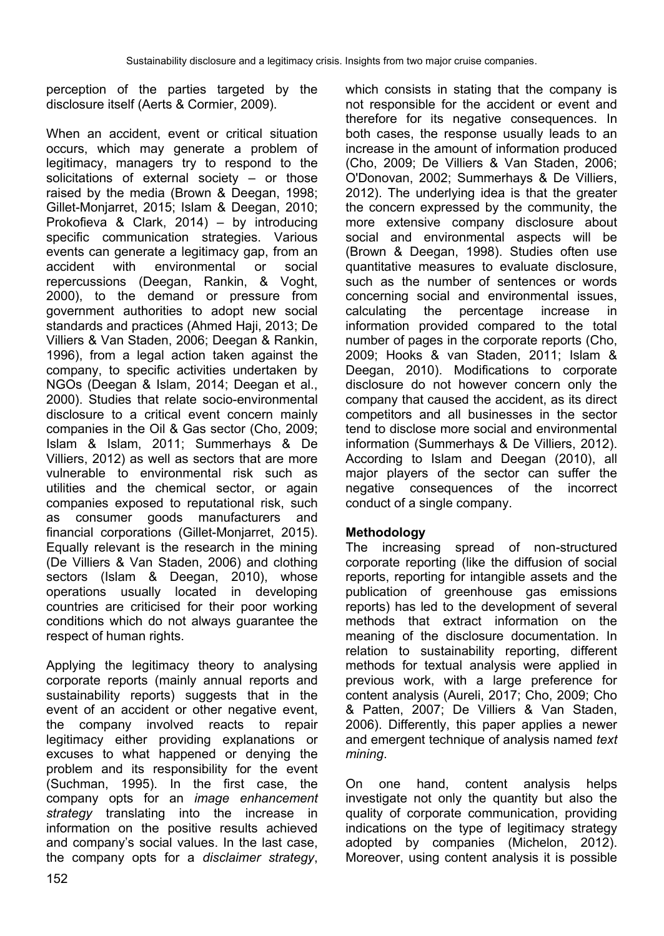perception of the parties targeted by the disclosure itself (Aerts & Cormier, 2009).

When an accident, event or critical situation occurs, which may generate a problem of legitimacy, managers try to respond to the solicitations of external society – or those raised by the media (Brown & Deegan, 1998; Gillet-Monjarret, 2015; Islam & Deegan, 2010; Prokofieva & Clark, 2014) – by introducing specific communication strategies. Various events can generate a legitimacy gap, from an accident with environmental or social repercussions (Deegan, Rankin, & Voght, 2000), to the demand or pressure from government authorities to adopt new social standards and practices (Ahmed Haji, 2013; De Villiers & Van Staden, 2006; Deegan & Rankin, 1996), from a legal action taken against the company, to specific activities undertaken by NGOs (Deegan & Islam, 2014; Deegan et al., 2000). Studies that relate socio-environmental disclosure to a critical event concern mainly companies in the Oil & Gas sector (Cho, 2009; Islam & Islam, 2011; Summerhays & De Villiers, 2012) as well as sectors that are more vulnerable to environmental risk such as utilities and the chemical sector, or again companies exposed to reputational risk, such as consumer goods manufacturers and financial corporations (Gillet-Monjarret, 2015). Equally relevant is the research in the mining (De Villiers & Van Staden, 2006) and clothing sectors (Islam & Deegan, 2010), whose operations usually located in developing countries are criticised for their poor working conditions which do not always guarantee the respect of human rights.

Applying the legitimacy theory to analysing corporate reports (mainly annual reports and sustainability reports) suggests that in the event of an accident or other negative event, the company involved reacts to repair legitimacy either providing explanations or excuses to what happened or denying the problem and its responsibility for the event (Suchman, 1995). In the first case, the company opts for an *image enhancement strategy* translating into the increase in information on the positive results achieved and company's social values. In the last case, the company opts for a *disclaimer strategy*,

which consists in stating that the company is not responsible for the accident or event and therefore for its negative consequences. In both cases, the response usually leads to an increase in the amount of information produced (Cho, 2009; De Villiers & Van Staden, 2006; O'Donovan, 2002; Summerhays & De Villiers, 2012). The underlying idea is that the greater the concern expressed by the community, the more extensive company disclosure about social and environmental aspects will be (Brown & Deegan, 1998). Studies often use quantitative measures to evaluate disclosure, such as the number of sentences or words concerning social and environmental issues, calculating the percentage increase in information provided compared to the total number of pages in the corporate reports (Cho, 2009; Hooks & van Staden, 2011; Islam & Deegan, 2010). Modifications to corporate disclosure do not however concern only the company that caused the accident, as its direct competitors and all businesses in the sector tend to disclose more social and environmental information (Summerhays & De Villiers, 2012). According to Islam and Deegan (2010), all major players of the sector can suffer the negative consequences of the incorrect conduct of a single company.

#### **Methodology**

The increasing spread of non-structured corporate reporting (like the diffusion of social reports, reporting for intangible assets and the publication of greenhouse gas emissions reports) has led to the development of several methods that extract information on the meaning of the disclosure documentation. In relation to sustainability reporting, different methods for textual analysis were applied in previous work, with a large preference for content analysis (Aureli, 2017; Cho, 2009; Cho & Patten, 2007; De Villiers & Van Staden, 2006). Differently, this paper applies a newer and emergent technique of analysis named *text mining*.

On one hand, content analysis helps investigate not only the quantity but also the quality of corporate communication, providing indications on the type of legitimacy strategy adopted by companies (Michelon, 2012). Moreover, using content analysis it is possible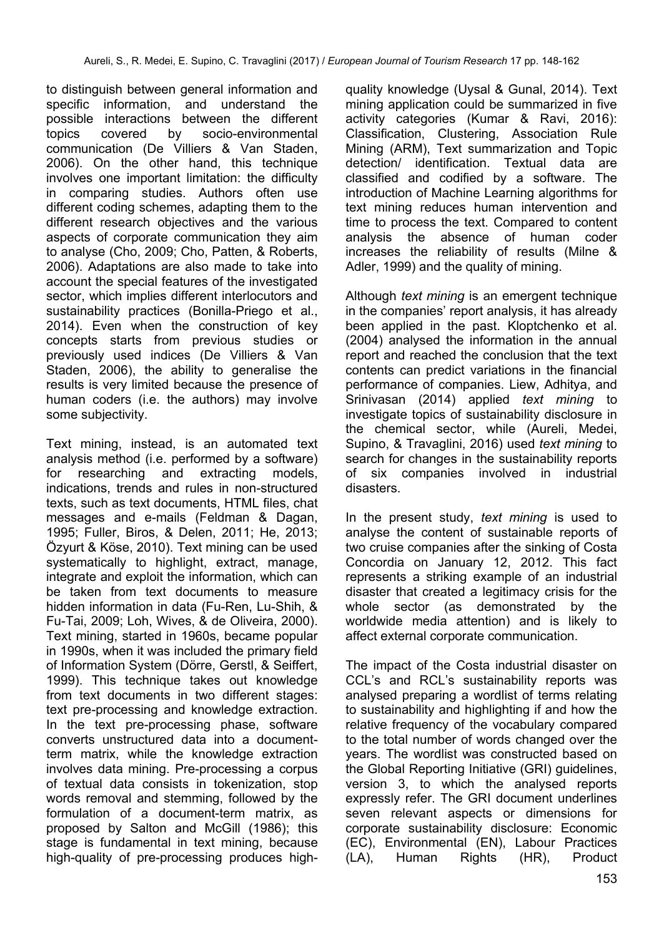to distinguish between general information and specific information, and understand the possible interactions between the different topics covered by socio-environmental communication (De Villiers & Van Staden, 2006). On the other hand, this technique involves one important limitation: the difficulty in comparing studies. Authors often use different coding schemes, adapting them to the different research objectives and the various aspects of corporate communication they aim to analyse (Cho, 2009; Cho, Patten, & Roberts, 2006). Adaptations are also made to take into account the special features of the investigated sector, which implies different interlocutors and sustainability practices (Bonilla-Priego et al., 2014). Even when the construction of key concepts starts from previous studies or previously used indices (De Villiers & Van Staden, 2006), the ability to generalise the results is very limited because the presence of human coders (i.e. the authors) may involve some subjectivity.

Text mining, instead, is an automated text analysis method (i.e. performed by a software) for researching and extracting models, indications, trends and rules in non-structured texts, such as text documents, HTML files, chat messages and e-mails (Feldman & Dagan, 1995; Fuller, Biros, & Delen, 2011; He, 2013; Özyurt & Köse, 2010). Text mining can be used systematically to highlight, extract, manage, integrate and exploit the information, which can be taken from text documents to measure hidden information in data (Fu-Ren, Lu-Shih, & Fu-Tai, 2009; Loh, Wives, & de Oliveira, 2000). Text mining, started in 1960s, became popular in 1990s, when it was included the primary field of Information System (Dörre, Gerstl, & Seiffert, 1999). This technique takes out knowledge from text documents in two different stages: text pre-processing and knowledge extraction. In the text pre-processing phase, software converts unstructured data into a documentterm matrix, while the knowledge extraction involves data mining. Pre-processing a corpus of textual data consists in tokenization, stop words removal and stemming, followed by the formulation of a document-term matrix, as proposed by Salton and McGill (1986); this stage is fundamental in text mining, because high-quality of pre-processing produces highquality knowledge (Uysal & Gunal, 2014). Text mining application could be summarized in five activity categories (Kumar & Ravi, 2016): Classification, Clustering, Association Rule Mining (ARM), Text summarization and Topic detection/ identification. Textual data are classified and codified by a software. The introduction of Machine Learning algorithms for text mining reduces human intervention and time to process the text. Compared to content analysis the absence of human coder increases the reliability of results (Milne & Adler, 1999) and the quality of mining.

Although *text mining* is an emergent technique in the companies' report analysis, it has already been applied in the past. Kloptchenko et al. (2004) analysed the information in the annual report and reached the conclusion that the text contents can predict variations in the financial performance of companies. Liew, Adhitya, and Srinivasan (2014) applied *text mining* to investigate topics of sustainability disclosure in the chemical sector, while (Aureli, Medei, Supino, & Travaglini, 2016) used *text mining* to search for changes in the sustainability reports of six companies involved in industrial disasters.

In the present study, *text mining* is used to analyse the content of sustainable reports of two cruise companies after the sinking of Costa Concordia on January 12, 2012. This fact represents a striking example of an industrial disaster that created a legitimacy crisis for the whole sector (as demonstrated by the worldwide media attention) and is likely to affect external corporate communication.

The impact of the Costa industrial disaster on CCL's and RCL's sustainability reports was analysed preparing a wordlist of terms relating to sustainability and highlighting if and how the relative frequency of the vocabulary compared to the total number of words changed over the years. The wordlist was constructed based on the Global Reporting Initiative (GRI) guidelines, version 3, to which the analysed reports expressly refer. The GRI document underlines seven relevant aspects or dimensions for corporate sustainability disclosure: Economic (EC), Environmental (EN), Labour Practices (LA), Human Rights (HR), Product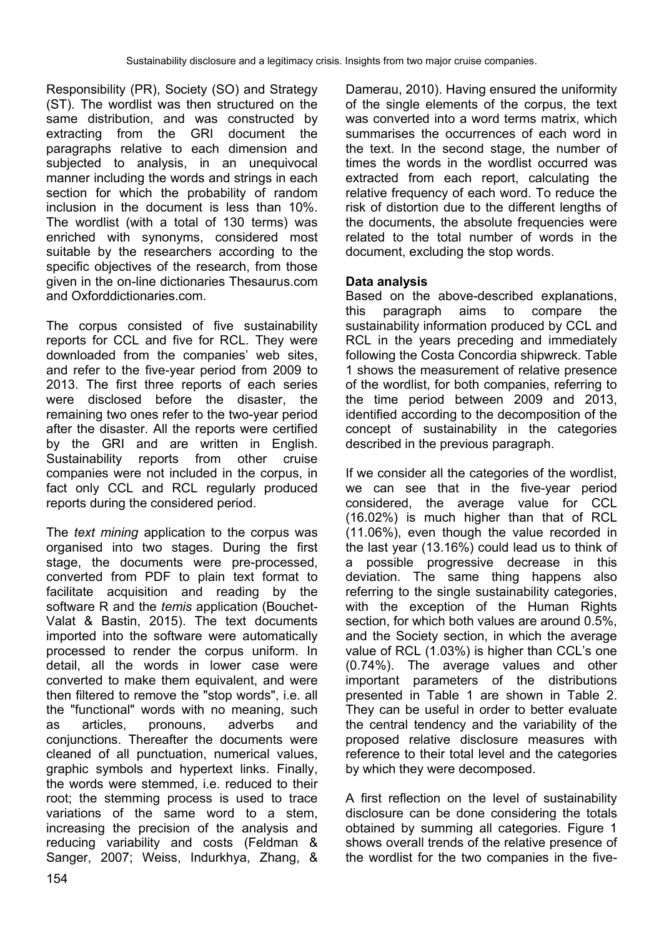Responsibility (PR), Society (SO) and Strategy (ST). The wordlist was then structured on the same distribution, and was constructed by extracting from the GRI document the paragraphs relative to each dimension and subjected to analysis, in an unequivocal manner including the words and strings in each section for which the probability of random inclusion in the document is less than 10%. The wordlist (with a total of 130 terms) was enriched with synonyms, considered most suitable by the researchers according to the specific objectives of the research, from those given in the on-line dictionaries Thesaurus.com and Oxforddictionaries.com

The corpus consisted of five sustainability reports for CCL and five for RCL. They were downloaded from the companies' web sites, and refer to the five-year period from 2009 to 2013. The first three reports of each series were disclosed before the disaster, the remaining two ones refer to the two-year period after the disaster. All the reports were certified by the GRI and are written in English. Sustainability reports from other cruise companies were not included in the corpus, in fact only CCL and RCL regularly produced reports during the considered period.

The *text mining* application to the corpus was organised into two stages. During the first stage, the documents were pre-processed, converted from PDF to plain text format to facilitate acquisition and reading by the software R and the *temis* application (Bouchet-Valat & Bastin, 2015). The text documents imported into the software were automatically processed to render the corpus uniform. In detail, all the words in lower case were converted to make them equivalent, and were then filtered to remove the "stop words", i.e. all the "functional" words with no meaning, such as articles, pronouns, adverbs and conjunctions. Thereafter the documents were cleaned of all punctuation, numerical values, graphic symbols and hypertext links. Finally, the words were stemmed, i.e. reduced to their root; the stemming process is used to trace variations of the same word to a stem, increasing the precision of the analysis and reducing variability and costs (Feldman & Sanger, 2007; Weiss, Indurkhya, Zhang, & Damerau, 2010). Having ensured the uniformity of the single elements of the corpus, the text was converted into a word terms matrix, which summarises the occurrences of each word in the text. In the second stage, the number of times the words in the wordlist occurred was extracted from each report, calculating the relative frequency of each word. To reduce the risk of distortion due to the different lengths of the documents, the absolute frequencies were related to the total number of words in the document, excluding the stop words.

### **Data analysis**

Based on the above-described explanations, this paragraph aims to compare the sustainability information produced by CCL and RCL in the years preceding and immediately following the Costa Concordia shipwreck. Table 1 shows the measurement of relative presence of the wordlist, for both companies, referring to the time period between 2009 and 2013, identified according to the decomposition of the concept of sustainability in the categories described in the previous paragraph.

If we consider all the categories of the wordlist, we can see that in the five-year period considered, the average value for CCL (16.02%) is much higher than that of RCL (11.06%), even though the value recorded in the last year (13.16%) could lead us to think of a possible progressive decrease in this deviation. The same thing happens also referring to the single sustainability categories, with the exception of the Human Rights section, for which both values are around 0.5%, and the Society section, in which the average value of RCL (1.03%) is higher than CCL's one (0.74%). The average values and other important parameters of the distributions presented in Table 1 are shown in Table 2. They can be useful in order to better evaluate the central tendency and the variability of the proposed relative disclosure measures with reference to their total level and the categories by which they were decomposed.

A first reflection on the level of sustainability disclosure can be done considering the totals obtained by summing all categories. Figure 1 shows overall trends of the relative presence of the wordlist for the two companies in the five-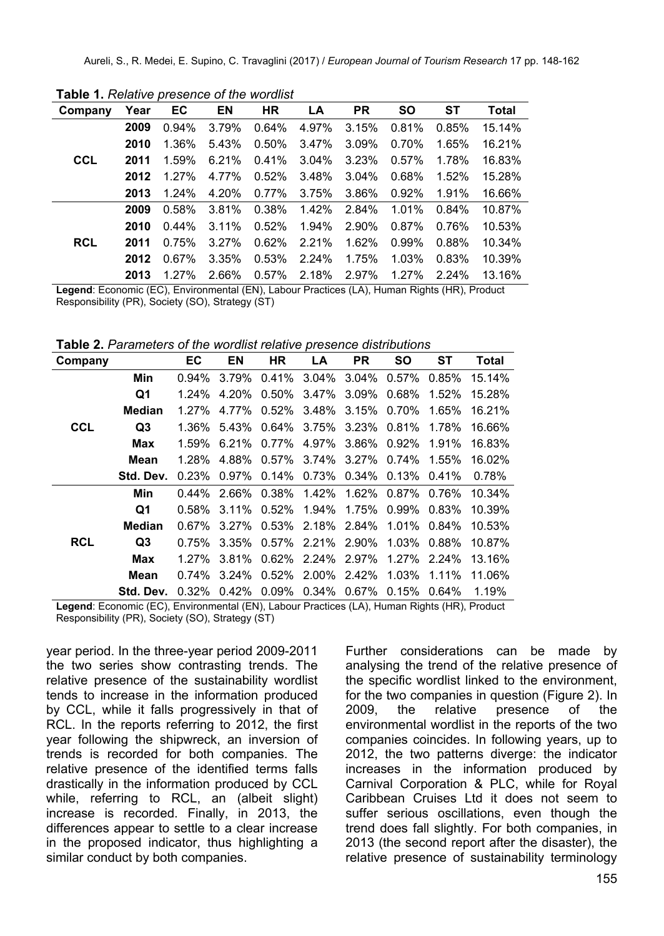| Company    |      | Year EC EN |          | <b>HR</b> | <b>LA</b>         | <b>PR</b> | <b>SO</b> | <b>ST</b>      | <b>Total</b> |
|------------|------|------------|----------|-----------|-------------------|-----------|-----------|----------------|--------------|
|            | 2009 | $0.94\%$   | 3.79%    |           | $0.64\%$ 4.97%    | 3.15%     | 0.81%     | $0.85\%$       | 15.14%       |
|            | 2010 | 1.36%      | 5.43%    | 0.50%     | 3.47%             | 3.09%     | 0.70%     | 1.65%          | 16.21%       |
| <b>CCL</b> | 2011 | 1.59%      | 6.21%    | $0.41\%$  | $3.04\%$          | 3.23%     | 0.57%     | 1.78%          | 16.83%       |
|            | 2012 | 1.27%      | 4.77%    |           | $0.52\%$ 3.48%    | $3.04\%$  | 0.68%     | $1.52\%$       | 15.28%       |
|            | 2013 | $1.24\%$   | 4.20%    |           | $0.77\%$ 3.75%    | 3.86%     |           | $0.92\%$ 1.91% | 16.66%       |
|            | 2009 | $0.58\%$   | 3.81%    |           | 0.38% 1.42% 2.84% |           | $1.01\%$  | $0.84\%$       | 10.87%       |
|            | 2010 | $0.44\%$   | $3.11\%$ | 0.52%     | $1.94\%$          | $2.90\%$  | $0.87\%$  | $0.76\%$       | 10.53%       |
| <b>RCL</b> | 2011 | $0.75\%$   | 3.27%    |           | $0.62\%$ 2.21%    | $1.62\%$  | $0.99\%$  | $0.88\%$       | 10.34%       |
|            | 2012 | $0.67\%$   | 3.35%    |           | $0.53\%$ 2.24%    | 1.75%     | $1.03\%$  | 0.83%          | 10.39%       |
|            | 2013 | $1.27\%$   | 2.66%    |           | $0.57\%$ 2.18%    | 2.97%     | $1.27\%$  | $2.24\%$       | 13.16%       |

**Table 1.** *Relative presence of the wordlist*

**Legend**: Economic (EC), Environmental (EN), Labour Practices (LA), Human Rights (HR), Product Responsibility (PR), Society (SO), Strategy (ST)

**Table 2.** *Parameters of the wordlist relative presence distributions*

| Company    |           | EC       | ΕN       | <b>HR</b>      | LA                   | PR       | SΟ             | SТ             | Total  |
|------------|-----------|----------|----------|----------------|----------------------|----------|----------------|----------------|--------|
|            | Min       | $0.94\%$ | 3.79%    | $0.41\%$       | $3.04\%$             | $3.04\%$ | 0.57%          | $0.85\%$       | 15.14% |
|            | Q1        | $1.24\%$ | 4.20%    | $0.50\%$       | 3.47%                | $3.09\%$ | $0.68\%$       | $1.52\%$       | 15.28% |
|            | Median    | $1.27\%$ | 4.77%    | $0.52\%$       | 3.48%                | 3.15%    | $0.70\%$       | 1.65%          | 16.21% |
| <b>CCL</b> | Q3        | 1.36%    | 5.43%    | $0.64\%$       | 3.75%                | 3.23%    | 0.81%          | 1.78%          | 16.66% |
|            | Max       | $1.59\%$ | $6.21\%$ | $0.77\%$       | 4.97%                | 3.86%    |                | $0.92\%$ 1.91% | 16.83% |
|            | Mean      | 1.28%    | 4.88%    | $0.57\%$ 3.74% |                      | $3.27\%$ | $0.74\%$ 1.55% |                | 16.02% |
|            | Std. Dev. | 0.23%    | $0.97\%$ |                | $0.14\%$ 0.73%       | $0.34\%$ | 0.13%          | $0.41\%$       | 0.78%  |
|            | Min       | $0.44\%$ | 2.66%    |                | $0.38\%$ 1.42%       | 1.62%    | $0.87\%$ 0.76% |                | 10.34% |
|            | Q1        | $0.58\%$ |          | $3.11\%$ 0.52% | 1.94%                | 1.75%    | 0.99%          | $0.83\%$       | 10.39% |
|            | Median    | 0.67%    | $3.27\%$ |                | $0.53\%$ 2.18%       | 2.84%    | 1.01%          | $0.84\%$       | 10.53% |
| <b>RCL</b> | Q3        | $0.75\%$ | 3.35%    |                | $0.57\%$ 2.21% 2.90% |          |                | $1.03\%$ 0.88% | 10.87% |
|            | Max       | $1.27\%$ | 3.81%    |                | $0.62\%$ 2.24%       | $2.97\%$ |                | $1.27\%$ 2.24% | 13.16% |
|            | Mean      | $0.74\%$ | $3.24\%$ |                | $0.52\%$ 2.00%       | 2.42%    | $1.03\%$ 1.11% |                | 11.06% |
|            | Std. Dev. | $0.32\%$ | $0.42\%$ | $0.09\%$       | 0.34%                | $0.67\%$ | $0.15\%$       | $0.64\%$       | 1.19%  |

**Legend**: Economic (EC), Environmental (EN), Labour Practices (LA), Human Rights (HR), Product Responsibility (PR), Society (SO), Strategy (ST)

year period. In the three-year period 2009-2011 the two series show contrasting trends. The relative presence of the sustainability wordlist tends to increase in the information produced by CCL, while it falls progressively in that of RCL. In the reports referring to 2012, the first year following the shipwreck, an inversion of trends is recorded for both companies. The relative presence of the identified terms falls drastically in the information produced by CCL while, referring to RCL, an (albeit slight) increase is recorded. Finally, in 2013, the differences appear to settle to a clear increase in the proposed indicator, thus highlighting a similar conduct by both companies.

Further considerations can be made by analysing the trend of the relative presence of the specific wordlist linked to the environment, for the two companies in question (Figure 2). In 2009, the relative presence of the environmental wordlist in the reports of the two companies coincides. In following years, up to 2012, the two patterns diverge: the indicator increases in the information produced by Carnival Corporation & PLC, while for Royal Caribbean Cruises Ltd it does not seem to suffer serious oscillations, even though the trend does fall slightly. For both companies, in 2013 (the second report after the disaster), the relative presence of sustainability terminology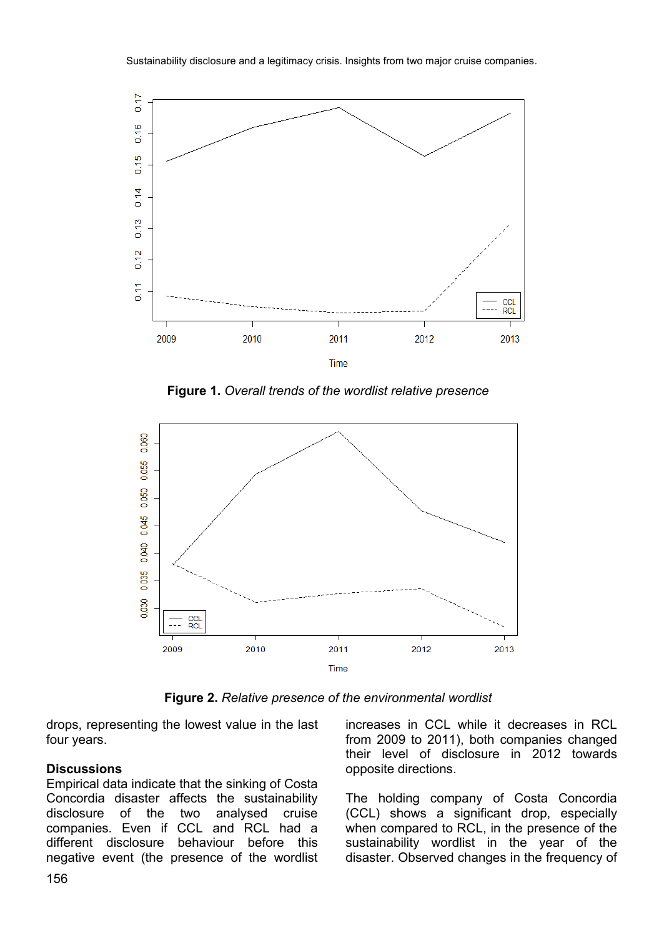

**Figure 1.** *Overall trends of the wordlist relative presence*



**Figure 2.** *Relative presence of the environmental wordlist*

drops, representing the lowest value in the last four years.

#### **Discussions**

Empirical data indicate that the sinking of Costa Concordia disaster affects the sustainability disclosure of the two analysed cruise companies. Even if CCL and RCL had a different disclosure behaviour before this negative event (the presence of the wordlist increases in CCL while it decreases in RCL from 2009 to 2011), both companies changed their level of disclosure in 2012 towards opposite directions.

The holding company of Costa Concordia (CCL) shows a significant drop, especially when compared to RCL, in the presence of the sustainability wordlist in the year of the disaster. Observed changes in the frequency of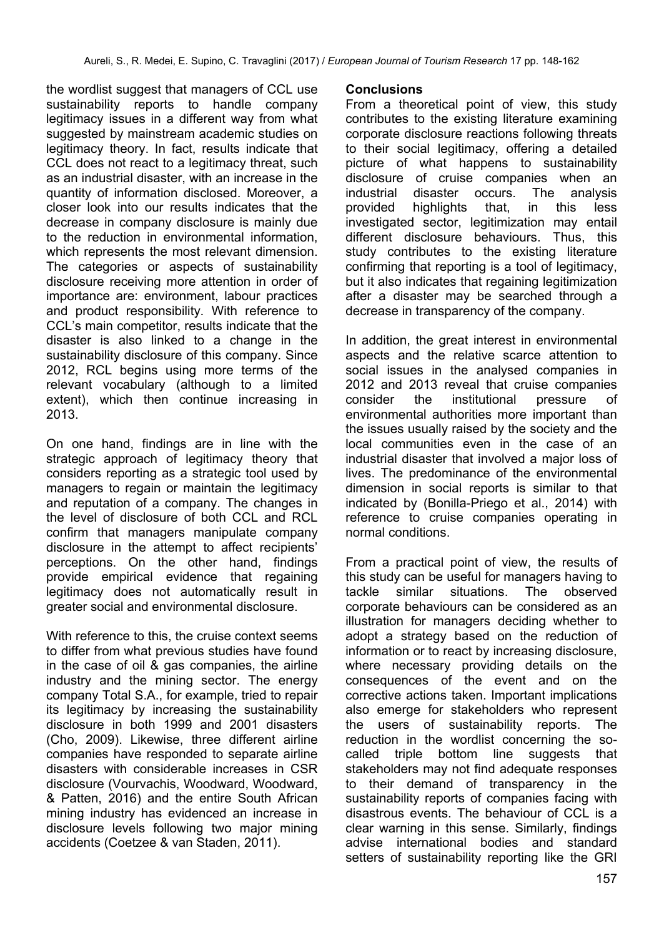the wordlist suggest that managers of CCL use sustainability reports to handle company legitimacy issues in a different way from what suggested by mainstream academic studies on legitimacy theory. In fact, results indicate that CCL does not react to a legitimacy threat, such as an industrial disaster, with an increase in the quantity of information disclosed. Moreover, a closer look into our results indicates that the decrease in company disclosure is mainly due to the reduction in environmental information, which represents the most relevant dimension. The categories or aspects of sustainability disclosure receiving more attention in order of importance are: environment, labour practices and product responsibility. With reference to CCL's main competitor, results indicate that the disaster is also linked to a change in the sustainability disclosure of this company. Since 2012, RCL begins using more terms of the relevant vocabulary (although to a limited extent), which then continue increasing in 2013.

On one hand, findings are in line with the strategic approach of legitimacy theory that considers reporting as a strategic tool used by managers to regain or maintain the legitimacy and reputation of a company. The changes in the level of disclosure of both CCL and RCL confirm that managers manipulate company disclosure in the attempt to affect recipients' perceptions. On the other hand, findings provide empirical evidence that regaining legitimacy does not automatically result in greater social and environmental disclosure.

With reference to this, the cruise context seems to differ from what previous studies have found in the case of oil & gas companies, the airline industry and the mining sector. The energy company Total S.A., for example, tried to repair its legitimacy by increasing the sustainability disclosure in both 1999 and 2001 disasters (Cho, 2009). Likewise, three different airline companies have responded to separate airline disasters with considerable increases in CSR disclosure (Vourvachis, Woodward, Woodward, & Patten, 2016) and the entire South African mining industry has evidenced an increase in disclosure levels following two major mining accidents (Coetzee & van Staden, 2011).

#### **Conclusions**

From a theoretical point of view, this study contributes to the existing literature examining corporate disclosure reactions following threats to their social legitimacy, offering a detailed picture of what happens to sustainability disclosure of cruise companies when an<br>industrial disaster occurs. The analysis industrial disaster occurs. provided highlights that, in this less investigated sector, legitimization may entail different disclosure behaviours. Thus, this study contributes to the existing literature confirming that reporting is a tool of legitimacy, but it also indicates that regaining legitimization after a disaster may be searched through a decrease in transparency of the company.

In addition, the great interest in environmental aspects and the relative scarce attention to social issues in the analysed companies in 2012 and 2013 reveal that cruise companies consider the institutional pressure of environmental authorities more important than the issues usually raised by the society and the local communities even in the case of an industrial disaster that involved a major loss of lives. The predominance of the environmental dimension in social reports is similar to that indicated by (Bonilla-Priego et al., 2014) with reference to cruise companies operating in normal conditions.

From a practical point of view, the results of this study can be useful for managers having to tackle similar situations. The observed corporate behaviours can be considered as an illustration for managers deciding whether to adopt a strategy based on the reduction of information or to react by increasing disclosure, where necessary providing details on the consequences of the event and on the corrective actions taken. Important implications also emerge for stakeholders who represent the users of sustainability reports. The reduction in the wordlist concerning the socalled triple bottom line suggests that stakeholders may not find adequate responses to their demand of transparency in the sustainability reports of companies facing with disastrous events. The behaviour of CCL is a clear warning in this sense. Similarly, findings advise international bodies and standard setters of sustainability reporting like the GRI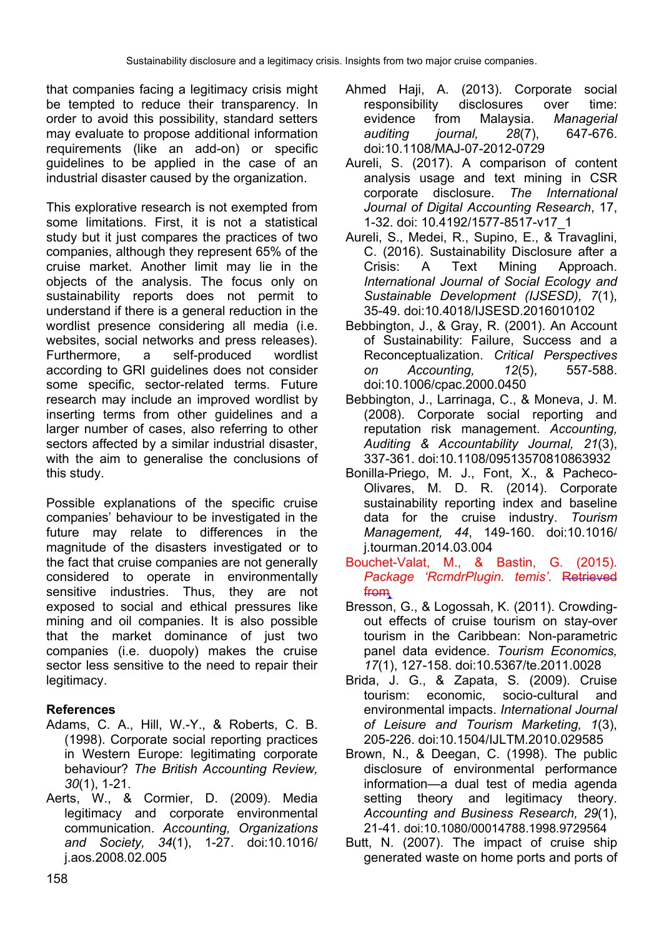that companies facing a legitimacy crisis might be tempted to reduce their transparency. In order to avoid this possibility, standard setters may evaluate to propose additional information requirements (like an add-on) or specific guidelines to be applied in the case of an industrial disaster caused by the organization.

This explorative research is not exempted from some limitations. First, it is not a statistical study but it just compares the practices of two companies, although they represent 65% of the cruise market. Another limit may lie in the objects of the analysis. The focus only on sustainability reports does not permit to understand if there is a general reduction in the wordlist presence considering all media (i.e. websites, social networks and press releases). Furthermore, a self-produced wordlist according to GRI guidelines does not consider some specific, sector-related terms. Future research may include an improved wordlist by inserting terms from other guidelines and a larger number of cases, also referring to other sectors affected by a similar industrial disaster, with the aim to generalise the conclusions of this study.

Possible explanations of the specific cruise companies' behaviour to be investigated in the future may relate to differences in the magnitude of the disasters investigated or to the fact that cruise companies are not generally considered to operate in environmentally sensitive industries. Thus, they are not exposed to social and ethical pressures like mining and oil companies. It is also possible that the market dominance of just two companies (i.e. duopoly) makes the cruise sector less sensitive to the need to repair their legitimacy.

### **References**

- Adams, C. A., Hill, W.-Y., & Roberts, C. B. (1998). Corporate social reporting practices in Western Europe: legitimating corporate behaviour? *The British Accounting Review, 30*(1), 1-21.
- Aerts, W., & Cormier, D. (2009). Media legitimacy and corporate environmental communication. *Accounting, Organizations and Society, 34*(1), 1-27. doi:10.1016/ j.aos.2008.02.005
- Ahmed Haii, A. (2013). Corporate social responsibility disclosures over time: evidence from Malaysia. *Managerial auditing journal, 28*(7), 647-676. doi:10.1108/MAJ-07-2012-0729
- Aureli, S. (2017). A comparison of content analysis usage and text mining in CSR corporate disclosure. *The International Journal of Digital Accounting Research*, 17, 1-32. doi: 10.4192/1577-8517-v17\_1
- Aureli, S., Medei, R., Supino, E., & Travaglini, C. (2016). Sustainability Disclosure after a Crisis: A Text Mining Approach. *International Journal of Social Ecology and Sustainable Development (IJSESD), 7*(1), 35-49. doi:10.4018/IJSESD.2016010102
- Bebbington, J., & Gray, R. (2001). An Account of Sustainability: Failure, Success and a Reconceptualization. *Critical Perspectives on Accounting, 12*(5), 557-588. doi:10.1006/cpac.2000.0450
- Bebbington, J., Larrinaga, C., & Moneva, J. M. (2008). Corporate social reporting and reputation risk management. *Accounting, Auditing & Accountability Journal, 21*(3), 337-361. doi:10.1108/09513570810863932
- Bonilla-Priego, M. J., Font, X., & Pacheco-Olivares, M. D. R. (2014). Corporate sustainability reporting index and baseline data for the cruise industry. *Tourism Management, 44*, 149-160. doi:10.1016/ j.tourman.2014.03.004
- Bouchet-Valat, M., & Bastin, G. (2015). *Package 'RcmdrPlugin. temis'*. Retrieved from
- Bresson, G., & Logossah, K. (2011). Crowdingout effects of cruise tourism on stay-over tourism in the Caribbean: Non-parametric panel data evidence. *Tourism Economics, 17*(1), 127-158. doi:10.5367/te.2011.0028
- Brida, J. G., & Zapata, S. (2009). Cruise tourism: economic, socio-cultural and environmental impacts. *International Journal of Leisure and Tourism Marketing, 1*(3), 205-226. doi:10.1504/IJLTM.2010.029585
- Brown, N., & Deegan, C. (1998). The public disclosure of environmental performance information—a dual test of media agenda setting theory and legitimacy theory. *Accounting and Business Research, 29*(1), 21-41. doi:10.1080/00014788.1998.9729564
- Butt, N. (2007). The impact of cruise ship generated waste on home ports and ports of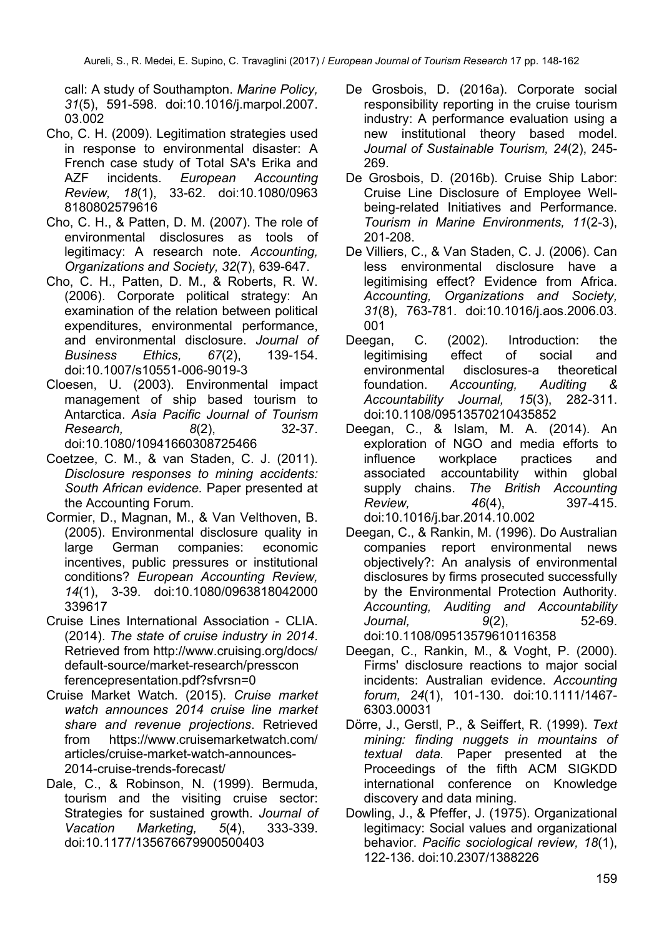call: A study of Southampton. *Marine Policy, 31*(5), 591-598. doi:10.1016/j.marpol.2007. 03.002

- Cho, C. H. (2009). Legitimation strategies used in response to environmental disaster: A French case study of Total SA's Erika and AZF incidents. *European Accounting Review, 18*(1), 33-62. doi:10.1080/0963 8180802579616
- Cho, C. H., & Patten, D. M. (2007). The role of environmental disclosures as tools of legitimacy: A research note. *Accounting, Organizations and Society, 32*(7), 639-647.
- Cho, C. H., Patten, D. M., & Roberts, R. W. (2006). Corporate political strategy: An examination of the relation between political expenditures, environmental performance, and environmental disclosure. *Journal of Business Ethics, 67*(2), 139-154. doi:10.1007/s10551-006-9019-3
- Cloesen, U. (2003). Environmental impact management of ship based tourism to Antarctica. *Asia Pacific Journal of Tourism Research, 8*(2), 32-37. doi:10.1080/10941660308725466
- Coetzee, C. M., & van Staden, C. J. (2011). *Disclosure responses to mining accidents: South African evidence.* Paper presented at the Accounting Forum.
- Cormier, D., Magnan, M., & Van Velthoven, B. (2005). Environmental disclosure quality in large German companies: economic incentives, public pressures or institutional conditions? *European Accounting Review, 14*(1), 3-39. doi:10.1080/0963818042000 339617
- Cruise Lines International Association CLIA. (2014). *The state of cruise industry in 2014*. Retrieved from [http://www.cruising.org/docs/](http://www.cruising.org/docs/%20default-source/market-research/presscon%20ferencepresentation.pdf?sfvrsn=0)  [default-source/market-research/presscon](http://www.cruising.org/docs/%20default-source/market-research/presscon%20ferencepresentation.pdf?sfvrsn=0)  [ferencepresentation.pdf?sfvrsn=0](http://www.cruising.org/docs/%20default-source/market-research/presscon%20ferencepresentation.pdf?sfvrsn=0)
- Cruise Market Watch. (2015). *Cruise market watch announces 2014 cruise line market share and revenue projections*. Retrieved from [https://www.cruisemarketwatch.com/](https://www.cruisemarketwatch.com/%20articles/cruise-market-watch-announces-2014-cruise-trends-forecast/)  [articles/cruise-market-watch-announces-](https://www.cruisemarketwatch.com/%20articles/cruise-market-watch-announces-2014-cruise-trends-forecast/)[2014-cruise-trends-forecast/](https://www.cruisemarketwatch.com/%20articles/cruise-market-watch-announces-2014-cruise-trends-forecast/)
- Dale, C., & Robinson, N. (1999). Bermuda, tourism and the visiting cruise sector: Strategies for sustained growth. *Journal of Vacation Marketing, 5*(4), 333-339. doi:10.1177/135676679900500403
- De Grosbois, D. (2016a). Corporate social responsibility reporting in the cruise tourism industry: A performance evaluation using a new institutional theory based model. *Journal of Sustainable Tourism, 24*(2), 245- 269.
- De Grosbois, D. (2016b). Cruise Ship Labor: Cruise Line Disclosure of Employee Wellbeing-related Initiatives and Performance. *Tourism in Marine Environments, 11*(2-3), 201-208.
- De Villiers, C., & Van Staden, C. J. (2006). Can less environmental disclosure have a legitimising effect? Evidence from Africa. *Accounting, Organizations and Society, 31*(8), 763-781. doi:10.1016/j.aos.2006.03. 001
- Deegan, C. (2002). Introduction: the legitimising effect of social and environmental disclosures-a theoretical foundation. *Accounting, Auditing & Accountability Journal, 15*(3), 282-311. doi:10.1108/09513570210435852
- Deegan, C., & Islam, M. A. (2014). An exploration of NGO and media efforts to influence workplace practices and associated accountability within global<br>supply chains. The British Accounting **The British Accounting** *Review, 46*(4), 397-415. doi:10.1016/j.bar.2014.10.002
- Deegan, C., & Rankin, M. (1996). Do Australian companies report environmental news objectively?: An analysis of environmental disclosures by firms prosecuted successfully by the Environmental Protection Authority. *Accounting, Auditing and Accountability Journal, 9*(2), 52-69. doi:10.1108/09513579610116358
- Deegan, C., Rankin, M., & Voght, P. (2000). Firms' disclosure reactions to major social incidents: Australian evidence. *Accounting forum, 24*(1), 101-130. doi:10.1111/1467- 6303.00031
- Dörre, J., Gerstl, P., & Seiffert, R. (1999). *Text mining: finding nuggets in mountains of textual data.* Paper presented at the Proceedings of the fifth ACM SIGKDD international conference on Knowledge discovery and data mining.
- Dowling, J., & Pfeffer, J. (1975). Organizational legitimacy: Social values and organizational behavior. *Pacific sociological review, 18*(1), 122-136. doi:10.2307/1388226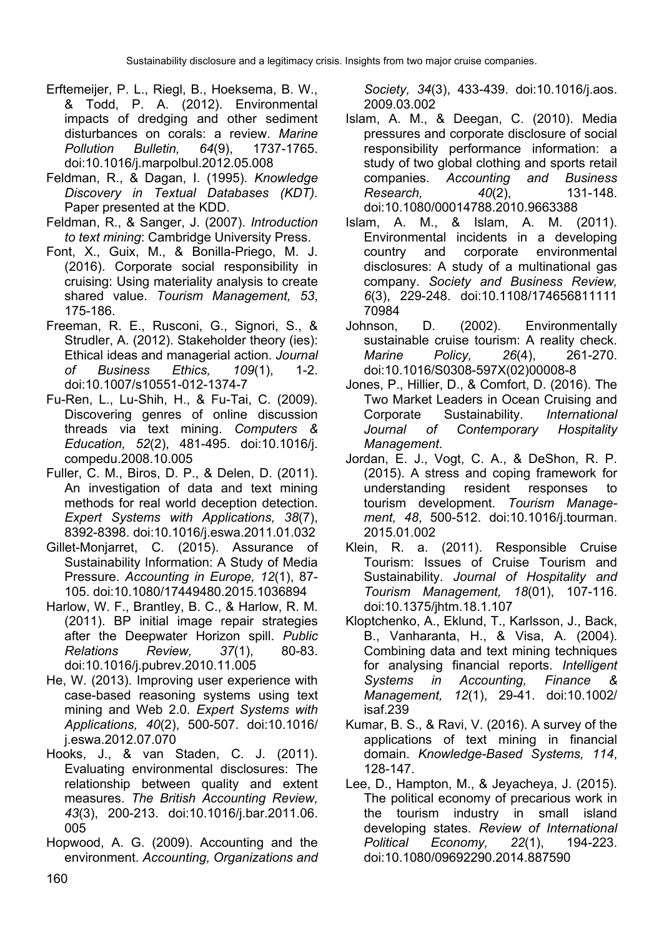- Erftemeijer, P. L., Riegl, B., Hoeksema, B. W., & Todd, P. A. (2012). Environmental impacts of dredging and other sediment disturbances on corals: a review. *Marine Pollution Bulletin, 64*(9), 1737-1765. doi:10.1016/j.marpolbul.2012.05.008
- Feldman, R., & Dagan, I. (1995). *Knowledge Discovery in Textual Databases (KDT).* Paper presented at the KDD.
- Feldman, R., & Sanger, J. (2007). *Introduction to text mining*: Cambridge University Press.
- Font, X., Guix, M., & Bonilla-Priego, M. J. (2016). Corporate social responsibility in cruising: Using materiality analysis to create shared value. *Tourism Management, 53*, 175-186.
- Freeman, R. E., Rusconi, G., Signori, S., & Strudler, A. (2012). Stakeholder theory (ies): Ethical ideas and managerial action. *Journal of Business Ethics, 109*(1), 1-2. doi:10.1007/s10551-012-1374-7
- Fu-Ren, L., Lu-Shih, H., & Fu-Tai, C. (2009). Discovering genres of online discussion threads via text mining. *Computers & Education, 52*(2), 481-495. doi:10.1016/j. compedu.2008.10.005
- Fuller, C. M., Biros, D. P., & Delen, D. (2011). An investigation of data and text mining methods for real world deception detection. *Expert Systems with Applications, 38*(7), 8392-8398. doi:10.1016/j.eswa.2011.01.032
- Gillet-Monjarret, C. (2015). Assurance of Sustainability Information: A Study of Media Pressure. *Accounting in Europe, 12*(1), 87- 105. doi:10.1080/17449480.2015.1036894
- Harlow, W. F., Brantley, B. C., & Harlow, R. M. (2011). BP initial image repair strategies after the Deepwater Horizon spill. *Public Relations Review, 37*(1), 80-83. doi:10.1016/j.pubrev.2010.11.005
- He, W. (2013). Improving user experience with case-based reasoning systems using text mining and Web 2.0. *Expert Systems with Applications, 40*(2), 500-507. doi:10.1016/ j.eswa.2012.07.070
- Hooks, J., & van Staden, C. J. (2011). Evaluating environmental disclosures: The relationship between quality and extent measures. *The British Accounting Review, 43*(3), 200-213. doi:10.1016/j.bar.2011.06. 005
- Hopwood, A. G. (2009). Accounting and the environment. *Accounting, Organizations and*

*Society, 34*(3), 433-439. doi:10.1016/j.aos. 2009.03.002

- Islam, A. M., & Deegan, C. (2010). Media pressures and corporate disclosure of social responsibility performance information: a study of two global clothing and sports retail companies. *Accounting and Business Research, 40*(2), 131-148. doi:10.1080/00014788.2010.9663388
- Islam, A. M., & Islam, A. M. (2011). Environmental incidents in a developing country and corporate environmental disclosures: A study of a multinational gas company. *Society and Business Review, 6*(3), 229-248. doi:10.1108/174656811111 70984
- Johnson, D. (2002). Environmentally sustainable cruise tourism: A reality check. *Marine Policy, 26*(4), 261-270. doi:10.1016/S0308-597X(02)00008-8
- Jones, P., Hillier, D., & Comfort, D. (2016). The Two Market Leaders in Ocean Cruising and Corporate Sustainability. *International Journal of Contemporary Hospitality Management*.
- Jordan, E. J., Vogt, C. A., & DeShon, R. P. (2015). A stress and coping framework for understanding resident responses to tourism development. *Tourism Management, 48*, 500-512. doi:10.1016/j.tourman. 2015.01.002
- Klein, R. a. (2011). Responsible Cruise Tourism: Issues of Cruise Tourism and Sustainability. *Journal of Hospitality and Tourism Management, 18*(01), 107-116. doi:10.1375/jhtm.18.1.107
- Kloptchenko, A., Eklund, T., Karlsson, J., Back, B., Vanharanta, H., & Visa, A. (2004). Combining data and text mining techniques for analysing financial reports. *Intelligent Systems in Accounting, Finance & Management, 12*(1), 29-41. doi:10.1002/ isaf.239
- Kumar, B. S., & Ravi, V. (2016). A survey of the applications of text mining in financial domain. *Knowledge-Based Systems, 114*, 128-147.
- Lee, D., Hampton, M., & Jeyacheya, J. (2015). The political economy of precarious work in the tourism industry in small island developing states. *Review of International Political Economy, 22*(1), 194-223. doi:10.1080/09692290.2014.887590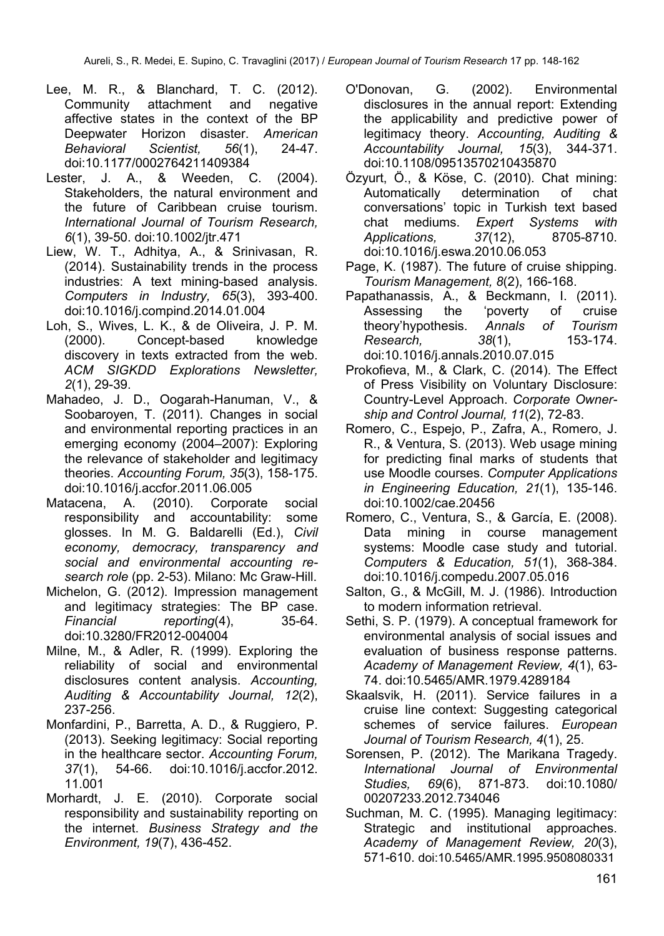- Lee, M. R., & Blanchard, T. C. (2012). Community attachment and negative affective states in the context of the BP Deepwater Horizon disaster. *American Behavioral Scientist, 56*(1), 24-47. doi:10.1177/0002764211409384
- Lester, J. A., & Weeden, C. (2004). Stakeholders, the natural environment and the future of Caribbean cruise tourism. *International Journal of Tourism Research, 6*(1), 39-50. doi:10.1002/jtr.471
- Liew, W. T., Adhitya, A., & Srinivasan, R. (2014). Sustainability trends in the process industries: A text mining-based analysis. *Computers in Industry, 65*(3), 393-400. doi:10.1016/j.compind.2014.01.004
- Loh, S., Wives, L. K., & de Oliveira, J. P. M. (2000). Concept-based knowledge discovery in texts extracted from the web. *ACM SIGKDD Explorations Newsletter, 2*(1), 29-39.
- Mahadeo, J. D., Oogarah-Hanuman, V., & Soobaroven, T. (2011). Changes in social and environmental reporting practices in an emerging economy (2004–2007): Exploring the relevance of stakeholder and legitimacy theories. *Accounting Forum, 35*(3), 158-175. doi:10.1016/j.accfor.2011.06.005
- Matacena, A. (2010). Corporate social responsibility and accountability: some glosses. In M. G. Baldarelli (Ed.), *Civil economy, democracy, transparency and social and environmental accounting research role* (pp. 2-53). Milano: Mc Graw-Hill.
- Michelon, G. (2012). Impression management and legitimacy strategies: The BP case. *Financial reporting*(4), 35-64. doi:10.3280/FR2012-004004
- Milne, M., & Adler, R. (1999). Exploring the reliability of social and environmental disclosures content analysis. *Accounting, Auditing & Accountability Journal, 12*(2), 237-256.
- Monfardini, P., Barretta, A. D., & Ruggiero, P. (2013). Seeking legitimacy: Social reporting in the healthcare sector. *Accounting Forum, 37*(1), 54-66. doi:10.1016/j.accfor.2012. 11.001
- Morhardt, J. E. (2010). Corporate social responsibility and sustainability reporting on the internet. *Business Strategy and the Environment, 19*(7), 436-452.
- O'Donovan, G. (2002). Environmental disclosures in the annual report: Extending the applicability and predictive power of legitimacy theory. *Accounting, Auditing & Accountability Journal, 15*(3), 344-371. doi:10.1108/09513570210435870
- Özyurt, Ö., & Köse, C. (2010). Chat mining: Automatically determination of chat conversations' topic in Turkish text based chat mediums. *Expert Systems with Applications, 37*(12), 8705-8710. doi:10.1016/j.eswa.2010.06.053
- Page, K. (1987). The future of cruise shipping. *Tourism Management, 8*(2), 166-168.
- Papathanassis, A., & Beckmann, I. (2011). Assessing the 'poverty of cruise theory'hypothesis. *Annals of Tourism Research, 38*(1), 153-174. doi:10.1016/j.annals.2010.07.015
- Prokofieva, M., & Clark, C. (2014). The Effect of Press Visibility on Voluntary Disclosure: Country-Level Approach. *Corporate Ownership and Control Journal, 11*(2), 72-83.
- Romero, C., Espejo, P., Zafra, A., Romero, J. R., & Ventura, S. (2013). Web usage mining for predicting final marks of students that use Moodle courses. *Computer Applications in Engineering Education, 21*(1), 135-146. doi:10.1002/cae.20456
- Romero, C., Ventura, S., & García, E. (2008). Data mining in course management systems: Moodle case study and tutorial. *Computers & Education, 51*(1), 368-384. doi:10.1016/j.compedu.2007.05.016
- Salton, G., & McGill, M. J. (1986). Introduction to modern information retrieval.
- Sethi, S. P. (1979). A conceptual framework for environmental analysis of social issues and evaluation of business response patterns. *Academy of Management Review, 4*(1), 63- 74. doi:10.5465/AMR.1979.4289184
- Skaalsvik, H. (2011). Service failures in a cruise line context: Suggesting categorical schemes of service failures. *European Journal of Tourism Research, 4*(1), 25.
- Sorensen, P. (2012). The Marikana Tragedy. *International Journal of Environmental Studies, 69*(6), 871-873. doi:10.1080/ 00207233.2012.734046
- Suchman, M. C. (1995). Managing legitimacy: Strategic and institutional approaches. *Academy of Management Review, 20*(3), 571-610. doi:10.5465/AMR.1995.9508080331